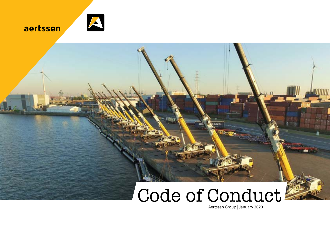



### Code of Conduct

Aertssen Group | January 2020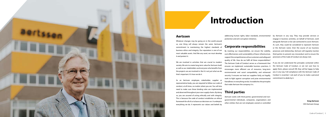

#### **Aertssen**

Whatever changes may be going on in the world around us, one thing will always remain the same: Aertssen's commitment to maintaining the highest standards of business ethics and integrity. Our reputation is one of our most valuable assets. And like any asset, we must develop it and protect it.

We are involved in activities that are crucial to modern society. We aim to create long-term value for Aertssen itself, as well as our stakeholders and everyone who benefits from the projects we are involved in. But it's not just what we do that's important. It's how we do it.

As an Aertssen employee, stakeholder, supplier or representative body, you are required to follow our code of conduct, at all times, no matter where you are. You will also need to make sure these binding rules are implemented and observed throughout your own supply chains. By doing so, you are assured of acting ethically and with integrity. This is because the code of conduct establishes an ethical framework for all of us to base our decisions on. It underpins everything we do. It represents our values and beliefs by

addressing human rights, labor standards, environmental protection and anti-corruption initiatives.

#### **Corporate responsibilities**

By meeting our responsibilities, we ensure the viability, cost-effectiveness and sustainability of basic infrastructure, support the competitiveness of our customers and safeguard quality of life. How do we fulfil all these responsibilities? The Aertssen Code of Conduct serves as a framework that ensures we implement sustainable business practices. It encourages more efficient use of resources, long-term environmental and social compatibility, and enhanced security. It ensures we treat our suppliers fairly, act legally, work to fight against corruption and prize environmental friendliness in everything we do. It establishes the principles that make Aertssen the company it is.

#### **Third parties**

Aertssen works with third parties: governmental and nongovernmental individuals, companies, organizations and other entities that are not employed, owned or controlled

### **Introduction**

by Aertssen in any way. They may provide services or engage in business activities, on behalf of Aertssen, work alongside Aertssen or be sub-contracted to assist Aertssen. As such, they could be considered to represent Aertssen or the Aertssen name. Over the course of our business processes and relationship, Aertssen will regularly monitor third parties to prevent any misconduct and to ensure the provisions of the Code of Conduct are always met.

If you do not understand the principles contained within the Aertssen Code of Conduct, or are not sure how to apply them, please consult HR; they will be happy to help you in any way. Full compliance with the Aertssen Code of Conduct is essential. I ask each of you to make a personal commitment to abide by it.

> **Greg Aertssen** CEO Aertssen Group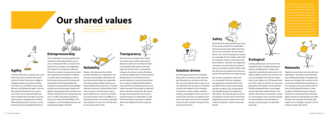### **Our shared values**



Aertssen is active in several markets. Our success results from the way our teams work together to offer the best value to our customers and partners. As an international organization, it is essential that we adhere to the same views and practices in every area. Our views are an important part of the Aertssen culture, reflected in our business values and the core competences holders, suppliers and representatives

The Aertssen Code of Conduct serves as an ethical framework. For this reason, it is important to understand what our values and objectives are at Aertssen.





诗

Turning a threat into an opportunity is part of the roots of our company. We cannot survive if we don't know how to adapt to changing market circumstances. Today, more than ever, we hold on to this creed. We wish to be flexible and agile, so we can fully meet the demands of our customers. To this end, we take reasonable and well-considered risks and adjust ourselves continuously to changing circumstances. When taking decisions, our focus is on the long-term and on anticipating the future.

### **Entrepreneurship**

All our employees are encouraged to take initiative to continually improve our services. A strong work ethic is crucial for the growth of our company. Any suggestions with respect to innovation are welcome. We aim at a creative company environment with scope for personal growth. Together we make a team of entrepreneurs, driven by the desire to be successful, always and everywhere. We all stand together. We maintain our responsibilities when delegating work and we encourage initiative and debate, showing respect for everyone's contribution. Work ethics and entrepreneurship are in our DNA: everything is possible as long as you work hard and skilfully, invest in people in a well-considered manner and embrace technology to the full.



### **Reliability**

Respect is the keystone of our family business. We honour our agreements and are honest, honourable, and tolerant. We are communicative about our responsibilities and are always willing to take up our responsibility and to account for our actions whenever necessary. Trustworthiness: that's what it's about as well. We want to go to great lengths for our customers to achieve this. No excavation work is too difficult, no hoisting too heavy, no transport impossible. The customer can count on us. We do what we say and say what we do.

### **Transparency**

We want to be a company with a world view and an open culture, where all employees are welcome and where we listen to one another with respect. Every day again. We strive for this in a transparent company environment, where all employees get the opportunity for further personal development. An environment where a positive attitude is crucial and where attention is paid to a healthy work-life balance with room for fun and pleasure. We are one family, one team. We are ready to help each other, under all circumstances. We want to be open and transparent in our business conduct towards our stakeholders as well. The family nature of our group is embedded in each department of our organization.

#### **Solution driven**

We attach great importance to thinking along with our customers. Each and every day. We present our customers with solutions so as to unburden them as best as we can. More than ever we focus on innovation to ensure the relevance of our company in the future. In these volatile, uncertain, complex, and ambiguous times we are convinced of the necessity to integrate innovation in the widest sense into our corporate culture. For the innovators of today are the winners of tomorrow.



We all share the same passion for our work, for our group and all of our stakeholders. We are passionate about offering the best service to our customers. We are solution driven, 24/7, and we unburden our customers maximally with our modern state of the art machinery, which is maintained in the best conditions. We draw our energy from innovation, our state of the art machinery and our conviction to perform better every day. Every day we question the status quo, and less than perfection isn't good enough.

But we never compromise where safety is concerned. For all our employees are expected to come home after work unscathed. That is why we permanently question ourselves, why we think about the rationale of processes and discuss alternatives. Our ultimate goal: to excel in everything we do. We want to be the best organization and the number one in each market we operate in, both at home and abroad.



#### **Ecological**

Creating added value is the reason of our entrepreneurship. Durable entrepreneurship for a durable growth. Always with respect for mankind and environment. We make an effort to achieve this as best as we can. To accomplish more with less means. And as such, reduce our CO2 footprint each year. That's what we strive for. It is why each proposition with regard to environmental friendly entrepreneurship is encouraged and considered for implementation. Our modern state of the art machinery is sacred to us and produces only a minimal emission of carbon dioxide. An annual objective energy scan encourages us to do better every year.



Together we are strong, not only within our organization. Each day we are looking for new, durable partnerships to broaden and deepen our strength. But we adhere to the no nonsense attitude that characterizes us. Our customers are our first priority and we wish to think along with them as a team in order to realize their projects. We also maintain our existing network where privileged customers are being kept up-to-date, through short messages and always with respect, of our company's situation. For the network is always the winner.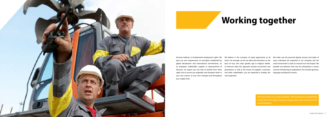

Aertssen believes in fundamental employment rights. We base our own requirements on principles established by global declarations and international commitments. As an employee, stakeholder, supplier or representative of Aertssen, we expect you not only to benefit from these promotions, as well as the choice of suppliers, customers rights, but to ensure you engender and champion them in and other stakeholders, you are expected to employ the language and physical contact. your own actions, at your own company and throughout same approach. your supply chain.

We believe in the concepts of equal opportunity at all times. For example, we do not allow discrimination on the basis of race, skin color, gender, age or religious beliefs. As Aertssen takes this approach towards recruitment and

> Aertssen does not use forced labor. All employees are paid fairly and in line with legal minimum wage rates and restrictions on working hours.

# **Working together**

We make sure the personal dignity, privacy and rights of every individual are respected in our company and the work environment is built on mutual trust and respect. We prohibit any behavior that may be interpreted as sexual, coercive, threatening or exploitative. This includes gestures,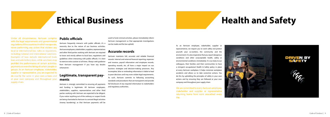#### **Public officials**

Aertssen frequently interacts with public officials; it's a necessity due to the nature of our business activities. Aertssen employees, stakeholders, suppliers, representatives and other third parties working with Aertssen are required to know and strictly adhere to local laws, regulations and guidelines when interacting with public officials. It is best to exercise extra caution at all times. Always seek guidance from Aertssen management if you have any doubts whatsoever.

#### **Legitimate, transparent payments**

Aertssen is strongly committed to ensuring all payments and funding is legitimate. All Aertssen employees, stakeholders, suppliers, representatives and other third parties working with Aertssen are expected to be diligent. If you notice anything out of the ordinary or suspect funds are being channeled to Aertssen to conceal illegal activities (money laundering), or that Aertssen payments will be used to fund criminal activities, please immediately inform Aertssen management so that appropriate investigations can be made and the law upheld.

#### **Accurate records**

Under all circumstances, Aertssen complies with the legal requirements and governmental regulations of the countries in which we operate, never performing any action that violates any local or international law, rules or regulations, including national and international sanctions. Examples of laws include international trade laws and anti-bribery laws, while sanctions may prohibit the performance of certain activities, payments or even the hiring of certain people or groups. As an Aertssen employee, stakeholder, supplier or representative, you are expected to do exactly the same in your own actions and at your own company and throughout your supply chain.

Aertssen maintains full, accurate and reliable financial records. Internal and external financial reporting, expenses and invoices, payroll information and employee records, operating records, etc. all have a major impact on our business strategies and decision-making processes. Any incomplete, false or misleading information is liable to lead to poor decisions and may even violate legal requirements. As such, Aertssen commits to following accounting standards and procedures that are transparent and provide full disclosure of any required information to stakeholders and regulatory authorities.

### **Ethical Business**

As an Aertssen employee, stakeholder, supplier or representative, we require you to work safely and protect yourself, your co-workers, the community and the environment. It is also imperative that you report dangerous conditions and other unacceptable health, safety or environmental conditions immediately. It is our duty to our colleagues, their families and their communities to have a stringent occupational Health & Safety policy in place at every Aertssen workplace. It helps minimize workplace accidents and allows us to take corrective actions. You do this by upholding the principles of safety in your own actions and by ensuring they are followed at your own company and throughout your supply chain.

We are committed to every Aertssen employee, stakeholder and supplier or representative returning home from work unscathed every day.



# **Health and Safety**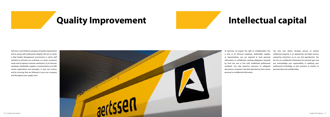

Aertssen is committed to a program of quality improvement and to acting with professional integrity. We aim to create a Total Quality Management environment in which staff members at all levels can contribute, as a team, to prevent waste and to improve customer satisfaction. As an Aertssen employee, stakeholder, supplier or representative, you fulfil certain expectations and principles, in your own actions and by ensuring they are followed at your own company and throughout your supply chain.

# **Quality Improvement Intellectual capital**

At Aertssen, we respect the right to confidentiality. This is why, as an Aertssen employee, stakeholder, supplier or representative, you are required to treat personal information as confidential, meeting obligations imposed by local law and in line with established professional standards. You take proactive measures to safeguard documents, computers and other data devices that contain personal or confidential information.

You only ever obtain, develop, process or protect intellectual property in an appropriate and legal manner, respecting restrictions on its use and reproduction. You do not use confidential information for personal gain and you acknowledge your responsibility in updating your professional knowledge on best practices in relation to personal data and confidentiality.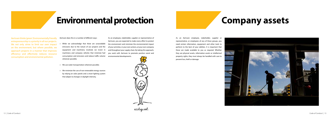Aertssen thinks 'green'. Environmentally friendly entrepreneurship is a priority in all our projects. We not only strive to limit our own impact on the environment, but where possible, we approach projects in a manner that improves efficiency and effectively reduces resource consumption and environmental pollution.

### **Environmental protection**

Aertssen does this in a number of different ways:

> While we acknowledge that there are unavoidable emissions due to the nature of our projects and the equipment and machinery involved, we invest in machinery and company vehicles that minimize fuel consumption and emissions and reduce traffic volume wherever possible;

> We use water transportation wherever possible;

> We minimize the use of non-renewable energy sources by relying on solar panels and a smart lighting system that adapts to changes in daylight intensity.

As an employee, stakeholder, supplier or representative of Aertssen, you are expected to make every effort to protect the environment and minimize the environmental impact of your activities, in your own actions, at your own company and throughout your supply chain. By taking this approach, you work with Aertssen to promote positive social and environmental developments.



ecological

As an Aertssen employee, stakeholder, supplier or representative, or employees of any of these groups, you need certain information, equipment and other tools to perform to the best of your abilities. It is important that these are made available to you as required. Whether they are physical assets, information assets or intellectual property rights, they must always be handled with care to prevent loss, theft or damage.



### **Company assets**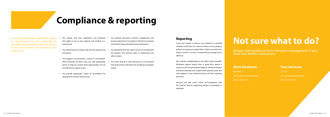As an Aertssen employee, stakeholder, supplier or representative, you are responsible for upholding these principles in your own actions, at your own company and throughout your supply chain.

- > You comply with laws, regulations and standards that apply to you in your capacity and conduct as a professional.
- > You understand and comply with Aertssen policies and procedures.
- > You engage in and promote a culture of consultation. When questions of ethics arise, you seek appropriate advice to help you resolve them appropriately. You do not hide from or ignore issues.
- > You provide appropriate means of consultation for dealing with sensitive ethical issues.
- You properly document customer engagements and business operations in accordance with Aertssen policies and relevant legal and professional requirements.
- > You uphold the Aertssen name. You do not misrepresent the position that Aertssen takes in professional and other matters.
- You never destroy or alter documents, or recommend their destruction or alteration, for any illegal or improper reason.

Always seek guidance from Aertssen management if you have any doubts whatsoever.

**HR Director** alain.bastiaens@aertssen.be 0032 3 330 19 73

# **Compliance & reporting**

#### **Reporting**

If you ever suspect or observe any violations or possible violations of the law, this code of conduct or any company policies, we urge you to report them. It does not matter how large or small it is or who is involved. We encourage you to speak up.

We maintain confidentiality to the fullest extent possible. Retaliation against anyone who, in good faith, reports a concern to the company about illegal or unethical conduct will not be tolerated and is subject to disciplinary action. The same applies to any intentional abuse of these reporting processes.

Aertssen will take action where non-compliance with this Code or relevant supporting policies or procedures is identified.

### **Not sure what to do?**

#### **Alain Bastiaens**

#### **Yves Aertssen**

Co-CEO

yves.aertssen@aertssen.be

0032 3 561 00 20